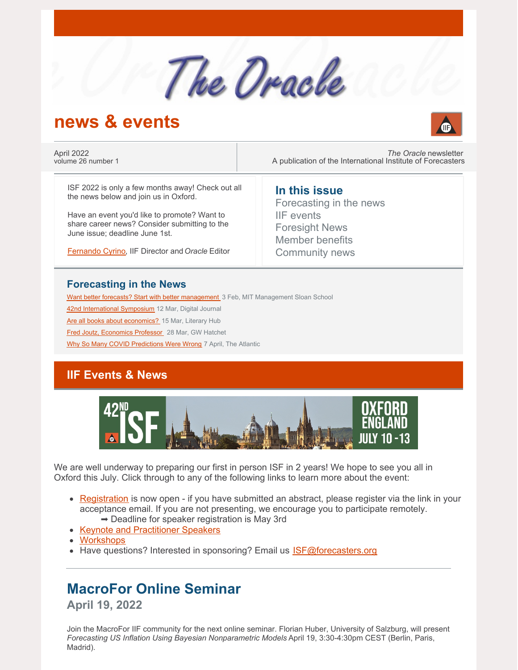

# **news & events**



April 2022 volume 26 number 1

*The Oracle* newsletter A publication of the International Institute of Forecasters

ISF 2022 is only a few months away! Check out all the news below and join us in Oxford.

Have an event you'd like to promote? Want to share career news? Consider submitting to the June issue; deadline June 1st.

[Fernando](mailto:secretary@forecasters.org) Cyrino, IIF Director and*Oracle* Editor

#### **In this issue**

Forecasting in the news IIF events Foresight News Member benefits Community news

#### **Forecasting in the News**

Want better forecasts? Start with better [management](https://mitsloan.mit.edu/ideas-made-to-matter/want-better-forecasts-start-better-management) 3 Feb, MIT Management Sloan School

42nd [International](https://www.digitaljournal.com/pr/42nd-international-symposium-on-forecasting-dates-venue-and-speakers-announced) Symposium 12 Mar, Digital Journal

Are all books about [economics?](https://lithub.com/finance-books-for-people-who-hate-finance-a-reading-list/?utm_source=Sailthru&utm_medium=email&utm_campaign=Lit Hub Daily: March 15%2C 2022&utm_term=lithub_master_list) 15 Mar, Literary Hub

Fred Joutz, [Economics](https://www.gwhatchet.com/2022/03/28/former-economics-professor-co-director-of-research-program-dies-at-68/) Professor 28 Mar, GW Hatchet

Why So Many COVID [Predictions](https://www.theatlantic.com/ideas/archive/2022/04/pandemic-failed-economic-forecasting/629498/) Were Wrong 7 April, The Atlantic

### **IIF Events & News**



We are well underway to preparing our first in person ISF in 2 years! We hope to see you all in Oxford this July. Click through to any of the following links to learn more about the event:

- [Registration](https://isf.forecasters.org/registration/) is now open if you have submitted an abstract, please register via the link in your acceptance email. If you are not presenting, we encourage you to participate remotely.  $\rightarrow$  Deadline for speaker registration is May 3rd
- Keynote and [Practitioner](https://isf.forecasters.org/program/speakers/) Speakers
- [Workshops](https://isf.forecasters.org/program/workshops/)
- Have questions? Interested in sponsoring? Email us [ISF@forecasters.org](mailto:isf@forecasters.org)

# **MacroFor Online Seminar**

**April 19, 2022**

Join the MacroFor IIF community for the next online seminar. Florian Huber, University of Salzburg, will present *Forecasting US Inflation Using Bayesian Nonparametric Models* April 19, 3:30-4:30pm CEST (Berlin, Paris, Madrid).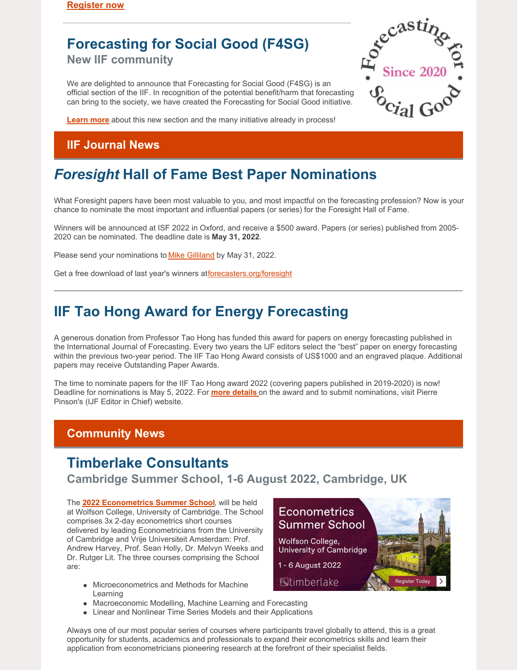# **Forecasting for Social Good (F4SG)**

**New IIF community**

We are delighted to announce that Forecasting for Social Good (F4SG) is an official section of the IIF. In recognition of the potential benefit/harm that forecasting can bring to the society, we have created the Forecasting for Social Good initiative.



**[Learn](https://forecasters.org/programs/communities/forecasting-for-social-good-f4sg/) more** about this new section and the many initiative already in process!

### **IIF Journal News**

# *Foresight* **Hall of Fame Best Paper Nominations**

What Foresight papers have been most valuable to you, and most impactful on the forecasting profession? Now is your chance to nominate the most important and influential papers (or series) for the Foresight Hall of Fame.

Winners will be announced at ISF 2022 in Oxford, and receive a \$500 award. Papers (or series) published from 2005- 2020 can be nominated. The deadline date is **May 31, 2022**.

Please send your nominations to Mike [Gilliland](mailto:mike.gilliland@forecasters.org) by May 31, 2022.

Get a free download of last year's winners at[forecasters.org/foresight](https://forecasters.org/foresight/)

## **IIF Tao Hong Award for Energy Forecasting**

A generous donation from Professor Tao Hong has funded this award for papers on energy forecasting published in the International Journal of Forecasting. Every two years the IJF editors select the "best" paper on energy forecasting within the previous two-year period. The IIF Tao Hong Award consists of US\$1000 and an engraved plaque. Additional papers may receive Outstanding Paper Awards.

The time to nominate papers for the IIF Tao Hong award 2022 (covering papers published in 2019-2020) is now! Deadline for nominations is May 5, 2022. For **more [details](http://pierrepinson.com/index.php/2022/04/05/iif-tao-hong-award-2022/)** on the award and to submit nominations, visit Pierre Pinson's (IJF Editor in Chief) website.

### **Community News**

## **Timberlake Consultants**

**Cambridge Summer School, 1-6 August 2022, Cambridge, UK**

The **2022 [Econometrics](https://www.timberlake.co.uk/courses/econometrics-summer-school-2022.html) Summer School**, will be held at Wolfson College, University of Cambridge. The School comprises 3x 2-day econometrics short courses delivered by leading Econometricians from the University of Cambridge and Vrije Universiteit Amsterdam: Prof. Andrew Harvey, Prof. Sean Holly, Dr. Melvyn Weeks and Dr. Rutger Lit. The three courses comprising the School are:

- Microeconometrics and Methods for Machine Learning
- Macroeconomic Modelling, Machine Learning and Forecasting
- Linear and Nonlinear Time Series Models and their Applications



Always one of our most popular series of courses where participants travel globally to attend, this is a great opportunity for students, academics and professionals to expand their econometrics skills and learn their application from econometricians pioneering research at the forefront of their specialist fields.